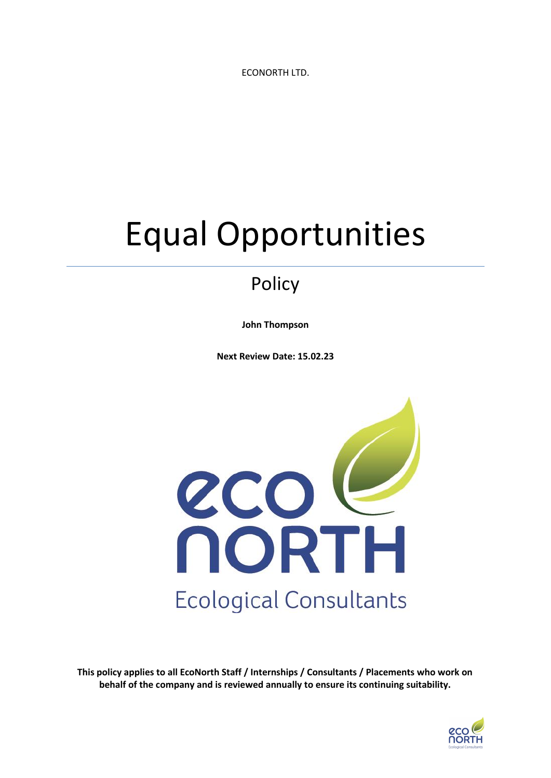ECONORTH LTD.

# Equal Opportunities

## Policy

**John Thompson**

**Next Review Date: 15.02.23**



**This policy applies to all EcoNorth Staff / Internships / Consultants / Placements who work on behalf of the company and is reviewed annually to ensure its continuing suitability.**

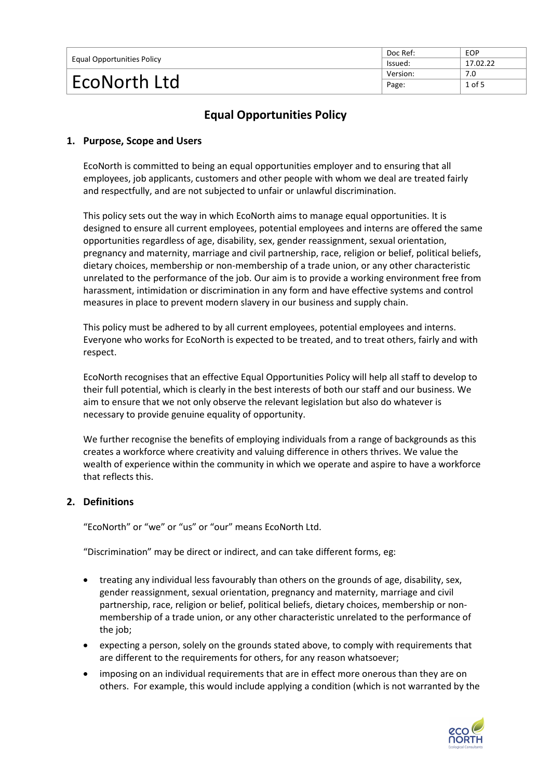| <b>Equal Opportunities Policy</b> | Doc Ref: | EOP      |
|-----------------------------------|----------|----------|
|                                   | lssued:  | 17.02.22 |
| EcoNorth Ltd                      | Version: | 7.0      |
|                                   | Page:    | $1$ of 5 |

### **Equal Opportunities Policy**

#### **1. Purpose, Scope and Users**

EcoNorth is committed to being an equal opportunities employer and to ensuring that all employees, job applicants, customers and other people with whom we deal are treated fairly and respectfully, and are not subjected to unfair or unlawful discrimination.

This policy sets out the way in which EcoNorth aims to manage equal opportunities. It is designed to ensure all current employees, potential employees and interns are offered the same opportunities regardless of age, disability, sex, gender reassignment, sexual orientation, pregnancy and maternity, marriage and civil partnership, race, religion or belief, political beliefs, dietary choices, membership or non-membership of a trade union, or any other characteristic unrelated to the performance of the job. Our aim is to provide a working environment free from harassment, intimidation or discrimination in any form and have effective systems and control measures in place to prevent modern slavery in our business and supply chain.

This policy must be adhered to by all current employees, potential employees and interns. Everyone who works for EcoNorth is expected to be treated, and to treat others, fairly and with respect.

EcoNorth recognises that an effective Equal Opportunities Policy will help all staff to develop to their full potential, which is clearly in the best interests of both our staff and our business. We aim to ensure that we not only observe the relevant legislation but also do whatever is necessary to provide genuine equality of opportunity.

We further recognise the benefits of employing individuals from a range of backgrounds as this creates a workforce where creativity and valuing difference in others thrives. We value the wealth of experience within the community in which we operate and aspire to have a workforce that reflects this.

#### **2. Definitions**

"EcoNorth" or "we" or "us" or "our" means EcoNorth Ltd.

"Discrimination" may be direct or indirect, and can take different forms, eg:

- treating any individual less favourably than others on the grounds of age, disability, sex, gender reassignment, sexual orientation, pregnancy and maternity, marriage and civil partnership, race, religion or belief, political beliefs, dietary choices, membership or nonmembership of a trade union, or any other characteristic unrelated to the performance of the job;
- expecting a person, solely on the grounds stated above, to comply with requirements that are different to the requirements for others, for any reason whatsoever;
- imposing on an individual requirements that are in effect more onerous than they are on others. For example, this would include applying a condition (which is not warranted by the

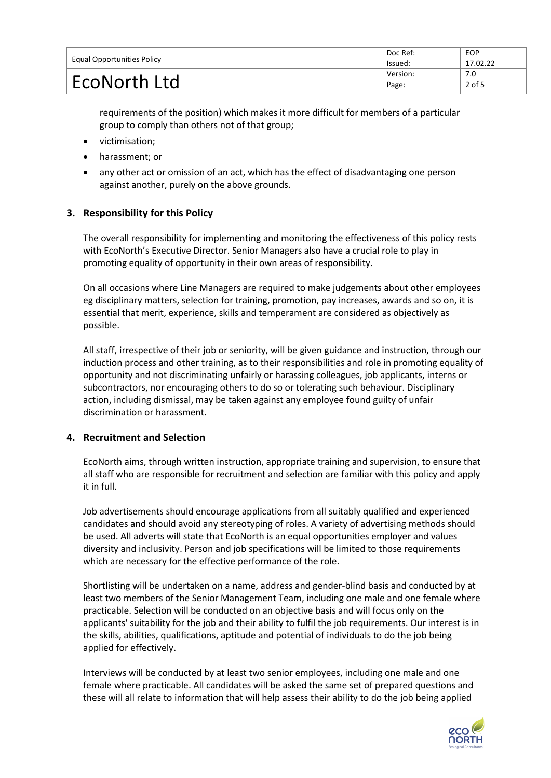| <b>Equal Opportunities Policy</b> | Doc Ref: | EOP      |
|-----------------------------------|----------|----------|
|                                   | lssued:  | 17.02.22 |
| EcoNorth Ltd                      | Version: | 7.0      |
|                                   | Page:    | 2 of 5   |

requirements of the position) which makes it more difficult for members of a particular group to comply than others not of that group;

- victimisation;
- harassment; or
- any other act or omission of an act, which has the effect of disadvantaging one person against another, purely on the above grounds.

#### **3. Responsibility for this Policy**

The overall responsibility for implementing and monitoring the effectiveness of this policy rests with EcoNorth's Executive Director. Senior Managers also have a crucial role to play in promoting equality of opportunity in their own areas of responsibility.

On all occasions where Line Managers are required to make judgements about other employees eg disciplinary matters, selection for training, promotion, pay increases, awards and so on, it is essential that merit, experience, skills and temperament are considered as objectively as possible.

All staff, irrespective of their job or seniority, will be given guidance and instruction, through our induction process and other training, as to their responsibilities and role in promoting equality of opportunity and not discriminating unfairly or harassing colleagues, job applicants, interns or subcontractors, nor encouraging others to do so or tolerating such behaviour. Disciplinary action, including dismissal, may be taken against any employee found guilty of unfair discrimination or harassment.

#### **4. Recruitment and Selection**

EcoNorth aims, through written instruction, appropriate training and supervision, to ensure that all staff who are responsible for recruitment and selection are familiar with this policy and apply it in full.

Job advertisements should encourage applications from all suitably qualified and experienced candidates and should avoid any stereotyping of roles. A variety of advertising methods should be used. All adverts will state that EcoNorth is an equal opportunities employer and values diversity and inclusivity. Person and job specifications will be limited to those requirements which are necessary for the effective performance of the role.

Shortlisting will be undertaken on a name, address and gender-blind basis and conducted by at least two members of the Senior Management Team, including one male and one female where practicable. Selection will be conducted on an objective basis and will focus only on the applicants' suitability for the job and their ability to fulfil the job requirements. Our interest is in the skills, abilities, qualifications, aptitude and potential of individuals to do the job being applied for effectively.

Interviews will be conducted by at least two senior employees, including one male and one female where practicable. All candidates will be asked the same set of prepared questions and these will all relate to information that will help assess their ability to do the job being applied

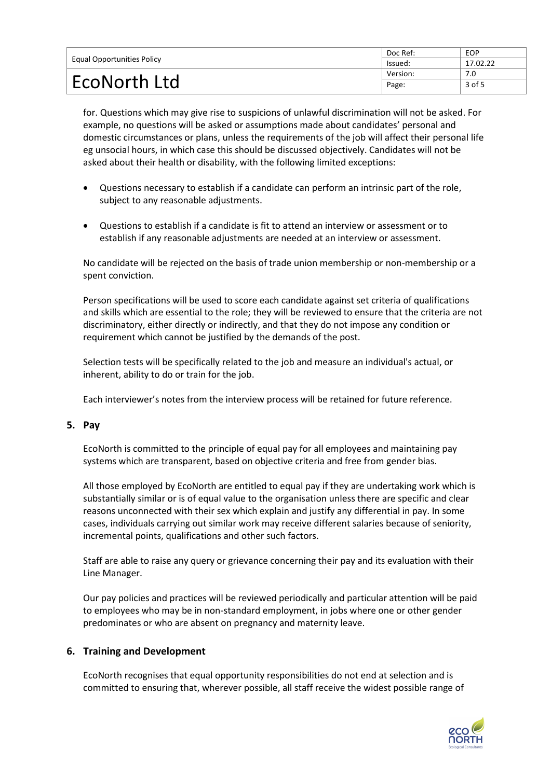| Equal Opportunities Policy | Doc Ref: | <b>EOP</b> |
|----------------------------|----------|------------|
|                            | lssued:  | 17.02.22   |
| EcoNorth Ltd               | Version: | 7.0        |
|                            | Page:    | 3 of 5     |

for. Questions which may give rise to suspicions of unlawful discrimination will not be asked. For example, no questions will be asked or assumptions made about candidates' personal and domestic circumstances or plans, unless the requirements of the job will affect their personal life eg unsocial hours, in which case this should be discussed objectively. Candidates will not be asked about their health or disability, with the following limited exceptions:

- Questions necessary to establish if a candidate can perform an intrinsic part of the role, subject to any reasonable adjustments.
- Questions to establish if a candidate is fit to attend an interview or assessment or to establish if any reasonable adjustments are needed at an interview or assessment.

No candidate will be rejected on the basis of trade union membership or non-membership or a spent conviction.

Person specifications will be used to score each candidate against set criteria of qualifications and skills which are essential to the role; they will be reviewed to ensure that the criteria are not discriminatory, either directly or indirectly, and that they do not impose any condition or requirement which cannot be justified by the demands of the post.

Selection tests will be specifically related to the job and measure an individual's actual, or inherent, ability to do or train for the job.

Each interviewer's notes from the interview process will be retained for future reference.

#### **5. Pay**

EcoNorth is committed to the principle of equal pay for all employees and maintaining pay systems which are transparent, based on objective criteria and free from gender bias.

All those employed by EcoNorth are entitled to equal pay if they are undertaking work which is substantially similar or is of equal value to the organisation unless there are specific and clear reasons unconnected with their sex which explain and justify any differential in pay. In some cases, individuals carrying out similar work may receive different salaries because of seniority, incremental points, qualifications and other such factors.

Staff are able to raise any query or grievance concerning their pay and its evaluation with their Line Manager.

Our pay policies and practices will be reviewed periodically and particular attention will be paid to employees who may be in non-standard employment, in jobs where one or other gender predominates or who are absent on pregnancy and maternity leave.

#### **6. Training and Development**

EcoNorth recognises that equal opportunity responsibilities do not end at selection and is committed to ensuring that, wherever possible, all staff receive the widest possible range of

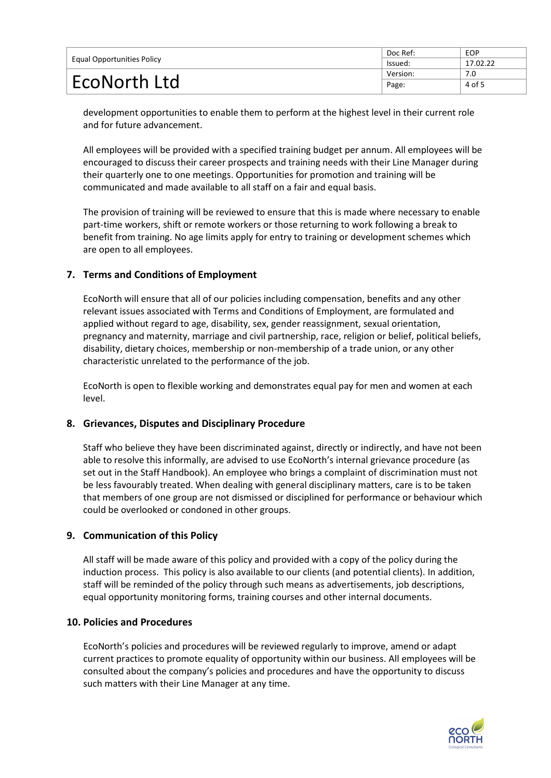| <b>Equal Opportunities Policy</b> | Doc Ref: | EOP      |
|-----------------------------------|----------|----------|
|                                   | lssued:  | 17.02.22 |
| <b>EcoNorth Ltd</b>               | Version: | 7.0      |
|                                   | Page:    | 4 of 5   |

development opportunities to enable them to perform at the highest level in their current role and for future advancement.

All employees will be provided with a specified training budget per annum. All employees will be encouraged to discuss their career prospects and training needs with their Line Manager during their quarterly one to one meetings. Opportunities for promotion and training will be communicated and made available to all staff on a fair and equal basis.

The provision of training will be reviewed to ensure that this is made where necessary to enable part-time workers, shift or remote workers or those returning to work following a break to benefit from training. No age limits apply for entry to training or development schemes which are open to all employees.

#### **7. Terms and Conditions of Employment**

EcoNorth will ensure that all of our policies including compensation, benefits and any other relevant issues associated with Terms and Conditions of Employment, are formulated and applied without regard to age, disability, sex, gender reassignment, sexual orientation, pregnancy and maternity, marriage and civil partnership, race, religion or belief, political beliefs, disability, dietary choices, membership or non-membership of a trade union, or any other characteristic unrelated to the performance of the job.

EcoNorth is open to flexible working and demonstrates equal pay for men and women at each level.

#### **8. Grievances, Disputes and Disciplinary Procedure**

Staff who believe they have been discriminated against, directly or indirectly, and have not been able to resolve this informally, are advised to use EcoNorth's internal grievance procedure (as set out in the Staff Handbook). An employee who brings a complaint of discrimination must not be less favourably treated. When dealing with general disciplinary matters, care is to be taken that members of one group are not dismissed or disciplined for performance or behaviour which could be overlooked or condoned in other groups.

#### **9. Communication of this Policy**

All staff will be made aware of this policy and provided with a copy of the policy during the induction process. This policy is also available to our clients (and potential clients). In addition, staff will be reminded of the policy through such means as advertisements, job descriptions, equal opportunity monitoring forms, training courses and other internal documents.

#### **10. Policies and Procedures**

EcoNorth's policies and procedures will be reviewed regularly to improve, amend or adapt current practices to promote equality of opportunity within our business. All employees will be consulted about the company's policies and procedures and have the opportunity to discuss such matters with their Line Manager at any time.